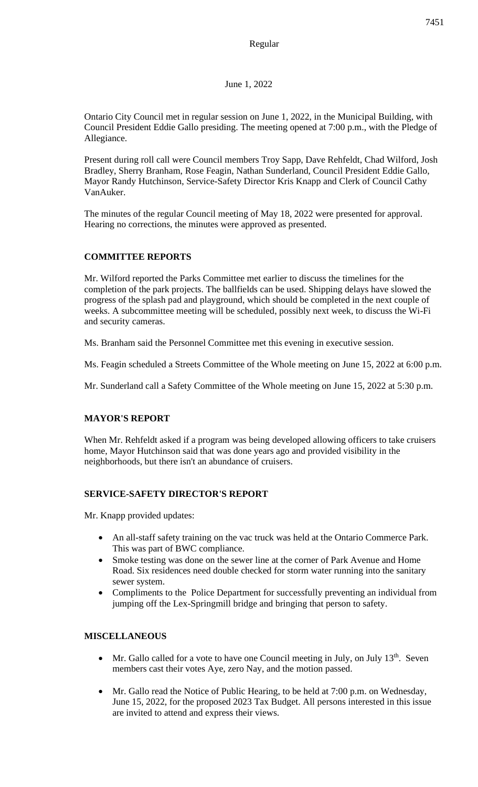# Regular

### June 1, 2022

Ontario City Council met in regular session on June 1, 2022, in the Municipal Building, with Council President Eddie Gallo presiding. The meeting opened at 7:00 p.m., with the Pledge of Allegiance.

Present during roll call were Council members Troy Sapp, Dave Rehfeldt, Chad Wilford, Josh Bradley, Sherry Branham, Rose Feagin, Nathan Sunderland, Council President Eddie Gallo, Mayor Randy Hutchinson, Service-Safety Director Kris Knapp and Clerk of Council Cathy VanAuker.

The minutes of the regular Council meeting of May 18, 2022 were presented for approval. Hearing no corrections, the minutes were approved as presented.

# **COMMITTEE REPORTS**

Mr. Wilford reported the Parks Committee met earlier to discuss the timelines for the completion of the park projects. The ballfields can be used. Shipping delays have slowed the progress of the splash pad and playground, which should be completed in the next couple of weeks. A subcommittee meeting will be scheduled, possibly next week, to discuss the Wi-Fi and security cameras.

Ms. Branham said the Personnel Committee met this evening in executive session.

Ms. Feagin scheduled a Streets Committee of the Whole meeting on June 15, 2022 at 6:00 p.m.

Mr. Sunderland call a Safety Committee of the Whole meeting on June 15, 2022 at 5:30 p.m.

### **MAYOR'S REPORT**

When Mr. Rehfeldt asked if a program was being developed allowing officers to take cruisers home, Mayor Hutchinson said that was done years ago and provided visibility in the neighborhoods, but there isn't an abundance of cruisers.

#### **SERVICE-SAFETY DIRECTOR'S REPORT**

Mr. Knapp provided updates:

- An all-staff safety training on the vac truck was held at the Ontario Commerce Park. This was part of BWC compliance.
- Smoke testing was done on the sewer line at the corner of Park Avenue and Home Road. Six residences need double checked for storm water running into the sanitary sewer system.
- Compliments to the Police Department for successfully preventing an individual from jumping off the Lex-Springmill bridge and bringing that person to safety.

### **MISCELLANEOUS**

- Mr. Gallo called for a vote to have one Council meeting in July, on July  $13<sup>th</sup>$ . Seven members cast their votes Aye, zero Nay, and the motion passed.
- Mr. Gallo read the Notice of Public Hearing, to be held at 7:00 p.m. on Wednesday, June 15, 2022, for the proposed 2023 Tax Budget. All persons interested in this issue are invited to attend and express their views.